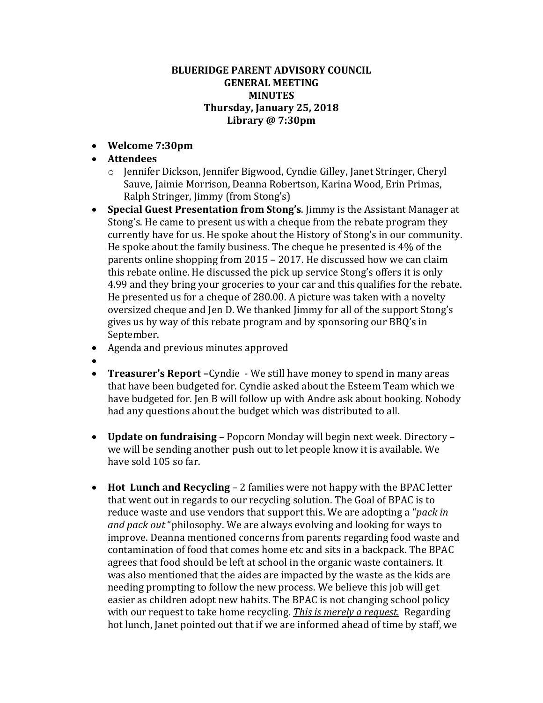## **BLUERIDGE PARENT ADVISORY COUNCIL GENERAL MEETING MINUTES Thursday, January 25, 2018 Library @ 7:30pm**

- **Welcome 7:30pm**
- **Attendees**
	- o Jennifer Dickson, Jennifer Bigwood, Cyndie Gilley, Janet Stringer, Cheryl Sauve, Jaimie Morrison, Deanna Robertson, Karina Wood, Erin Primas, Ralph Stringer, Jimmy (from Stong's)
- **Special Guest Presentation from Stong's**. Jimmy is the Assistant Manager at Stong's. He came to present us with a cheque from the rebate program they currently have for us. He spoke about the History of Stong's in our community. He spoke about the family business. The cheque he presented is 4% of the parents online shopping from 2015 – 2017. He discussed how we can claim this rebate online. He discussed the pick up service Stong's offers it is only 4.99 and they bring your groceries to your car and this qualifies for the rebate. He presented us for a cheque of 280.00. A picture was taken with a novelty oversized cheque and Jen D. We thanked Jimmy for all of the support Stong's gives us by way of this rebate program and by sponsoring our BBQ's in September.
- Agenda and previous minutes approved
- $\bullet$
- **Treasurer's Report –**Cyndie We still have money to spend in many areas that have been budgeted for. Cyndie asked about the Esteem Team which we have budgeted for. Jen B will follow up with Andre ask about booking. Nobody had any questions about the budget which was distributed to all.
- **Update on fundraising** Popcorn Monday will begin next week. Directory we will be sending another push out to let people know it is available. We have sold 105 so far.
- **Hot Lunch and Recycling** 2 families were not happy with the BPAC letter that went out in regards to our recycling solution. The Goal of BPAC is to reduce waste and use vendors that support this. We are adopting a "*pack in and pack out* "philosophy. We are always evolving and looking for ways to improve. Deanna mentioned concerns from parents regarding food waste and contamination of food that comes home etc and sits in a backpack. The BPAC agrees that food should be left at school in the organic waste containers. It was also mentioned that the aides are impacted by the waste as the kids are needing prompting to follow the new process. We believe this job will get easier as children adopt new habits. The BPAC is not changing school policy with our request to take home recycling. *This is merely a request.* Regarding hot lunch, Janet pointed out that if we are informed ahead of time by staff, we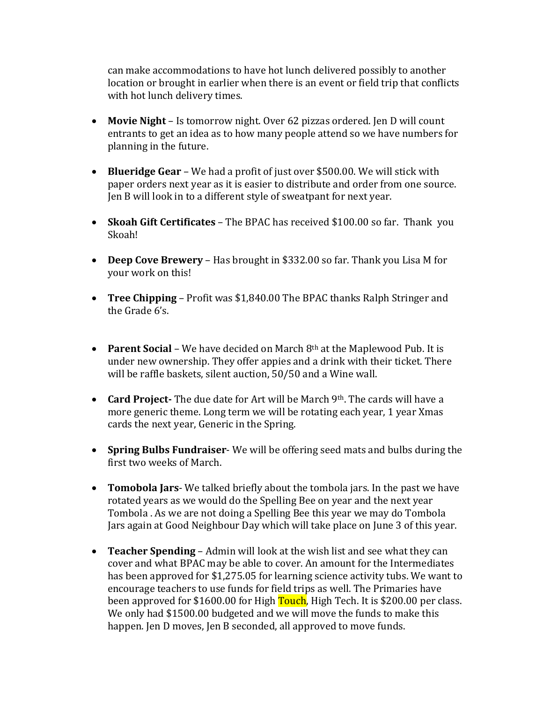can make accommodations to have hot lunch delivered possibly to another location or brought in earlier when there is an event or field trip that conflicts with hot lunch delivery times.

- **Movie Night** Is tomorrow night. Over 62 pizzas ordered. Jen D will count entrants to get an idea as to how many people attend so we have numbers for planning in the future.
- **Blueridge Gear** We had a profit of just over \$500.00. We will stick with paper orders next year as it is easier to distribute and order from one source. Jen B will look in to a different style of sweatpant for next year.
- **Skoah Gift Certificates** The BPAC has received \$100.00 so far. Thank you Skoah!
- **Deep Cove Brewery** Has brought in \$332.00 so far. Thank you Lisa M for your work on this!
- **Tree Chipping** Profit was \$1,840.00 The BPAC thanks Ralph Stringer and the Grade 6's.
- **Parent Social** We have decided on March 8<sup>th</sup> at the Maplewood Pub. It is under new ownership. They offer appies and a drink with their ticket. There will be raffle baskets, silent auction, 50/50 and a Wine wall.
- **Card Project-** The due date for Art will be March 9th. The cards will have a more generic theme. Long term we will be rotating each year, 1 year Xmas cards the next year, Generic in the Spring.
- **Spring Bulbs Fundraiser** We will be offering seed mats and bulbs during the first two weeks of March.
- **Tomobola Jars** We talked briefly about the tombola jars. In the past we have rotated years as we would do the Spelling Bee on year and the next year Tombola . As we are not doing a Spelling Bee this year we may do Tombola Jars again at Good Neighbour Day which will take place on June 3 of this year.
- **Teacher Spending** Admin will look at the wish list and see what they can cover and what BPAC may be able to cover. An amount for the Intermediates has been approved for \$1,275.05 for learning science activity tubs. We want to encourage teachers to use funds for field trips as well. The Primaries have been approved for \$1600.00 for High Touch, High Tech. It is \$200.00 per class. We only had \$1500.00 budgeted and we will move the funds to make this happen. Jen D moves, Jen B seconded, all approved to move funds.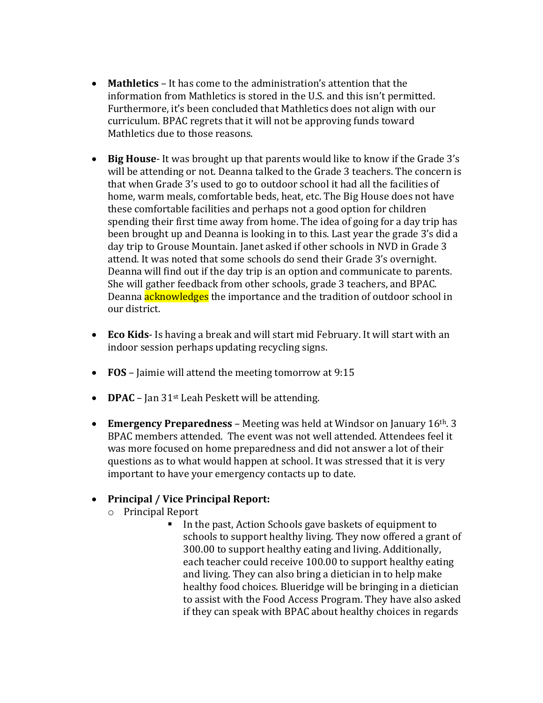- **Mathletics**  It has come to the administration's attention that the information from Mathletics is stored in the U.S. and this isn't permitted. Furthermore, it's been concluded that Mathletics does not align with our curriculum. BPAC regrets that it will not be approving funds toward Mathletics due to those reasons.
- **Big House** It was brought up that parents would like to know if the Grade 3's will be attending or not. Deanna talked to the Grade 3 teachers. The concern is that when Grade 3's used to go to outdoor school it had all the facilities of home, warm meals, comfortable beds, heat, etc. The Big House does not have these comfortable facilities and perhaps not a good option for children spending their first time away from home. The idea of going for a day trip has been brought up and Deanna is looking in to this. Last year the grade 3's did a day trip to Grouse Mountain. Janet asked if other schools in NVD in Grade 3 attend. It was noted that some schools do send their Grade 3's overnight. Deanna will find out if the day trip is an option and communicate to parents. She will gather feedback from other schools, grade 3 teachers, and BPAC. Deanna **acknowledges** the importance and the tradition of outdoor school in our district.
- **Eco Kids** Is having a break and will start mid February. It will start with an indoor session perhaps updating recycling signs.
- **FOS** Jaimie will attend the meeting tomorrow at 9:15
- **DPAC** Jan 31<sup>st</sup> Leah Peskett will be attending.
- **Emergency Preparedness** Meeting was held at Windsor on January 16th. 3 BPAC members attended. The event was not well attended. Attendees feel it was more focused on home preparedness and did not answer a lot of their questions as to what would happen at school. It was stressed that it is very important to have your emergency contacts up to date.

## **Principal / Vice Principal Report:**

- o Principal Report
	- In the past, Action Schools gave baskets of equipment to schools to support healthy living. They now offered a grant of 300.00 to support healthy eating and living. Additionally, each teacher could receive 100.00 to support healthy eating and living. They can also bring a dietician in to help make healthy food choices. Blueridge will be bringing in a dietician to assist with the Food Access Program. They have also asked if they can speak with BPAC about healthy choices in regards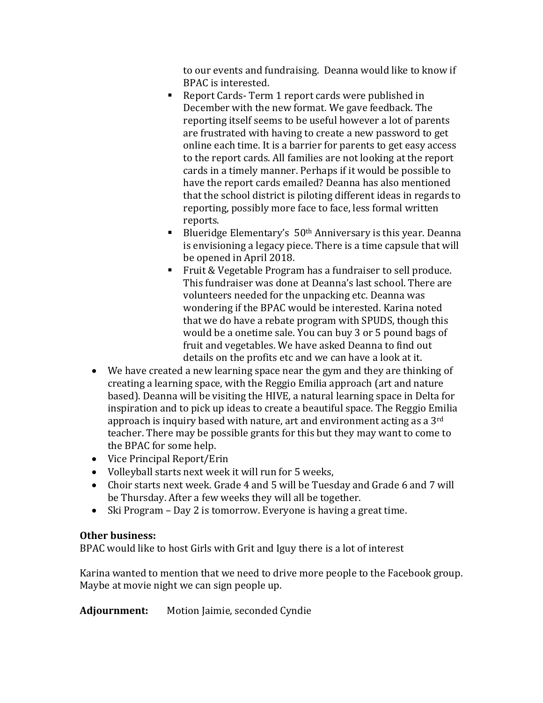to our events and fundraising. Deanna would like to know if BPAC is interested.

- Report Cards- Term 1 report cards were published in December with the new format. We gave feedback. The reporting itself seems to be useful however a lot of parents are frustrated with having to create a new password to get online each time. It is a barrier for parents to get easy access to the report cards. All families are not looking at the report cards in a timely manner. Perhaps if it would be possible to have the report cards emailed? Deanna has also mentioned that the school district is piloting different ideas in regards to reporting, possibly more face to face, less formal written reports.
- Blueridge Elementary's  $50<sup>th</sup>$  Anniversary is this year. Deanna is envisioning a legacy piece. There is a time capsule that will be opened in April 2018.
- Fruit & Vegetable Program has a fundraiser to sell produce. This fundraiser was done at Deanna's last school. There are volunteers needed for the unpacking etc. Deanna was wondering if the BPAC would be interested. Karina noted that we do have a rebate program with SPUDS, though this would be a onetime sale. You can buy 3 or 5 pound bags of fruit and vegetables. We have asked Deanna to find out details on the profits etc and we can have a look at it.
- We have created a new learning space near the gym and they are thinking of creating a learning space, with the Reggio Emilia approach (art and nature based). Deanna will be visiting the HIVE, a natural learning space in Delta for inspiration and to pick up ideas to create a beautiful space. The Reggio Emilia approach is inquiry based with nature, art and environment acting as a 3rd teacher. There may be possible grants for this but they may want to come to the BPAC for some help.
- Vice Principal Report/Erin
- Volleyball starts next week it will run for 5 weeks,
- Choir starts next week. Grade 4 and 5 will be Tuesday and Grade 6 and 7 will be Thursday. After a few weeks they will all be together.
- Ski Program Day 2 is tomorrow. Everyone is having a great time.

## **Other business:**

BPAC would like to host Girls with Grit and Iguy there is a lot of interest

Karina wanted to mention that we need to drive more people to the Facebook group. Maybe at movie night we can sign people up.

**Adjournment:** Motion Jaimie, seconded Cyndie